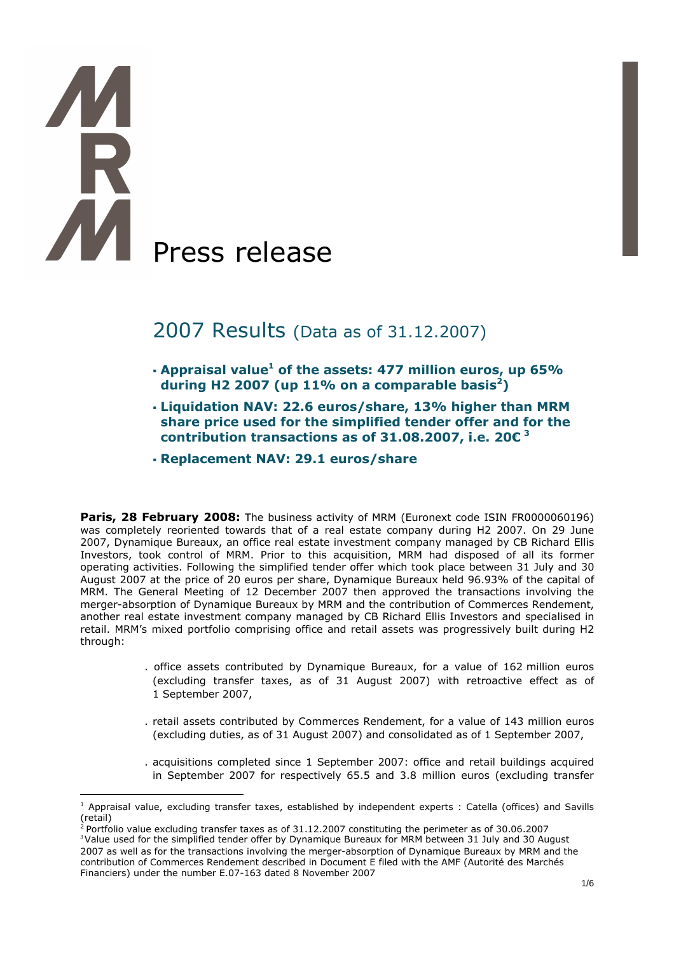# Press release

 $\overline{a}$ 

# 2007 Results (Data as of 31.12.2007)

- $\cdot$  Appraisal value<sup>1</sup> of the assets: 477 million euros, up 65% during H2 2007 (up 11% on a comparable basis<sup>2</sup>)
- Liquidation NAV: 22.6 euros/share, 13% higher than MRM share price used for the simplified tender offer and for the contribution transactions as of 31.08.2007, i.e. 20 $\boldsymbol{\mathsf{C}}^{\,3}$
- Replacement NAV: 29.1 euros/share

**Paris, 28 February 2008:** The business activity of MRM (Euronext code ISIN FR0000060196) was completely reoriented towards that of a real estate company during H2 2007. On 29 June 2007, Dynamique Bureaux, an office real estate investment company managed by CB Richard Ellis Investors, took control of MRM. Prior to this acquisition, MRM had disposed of all its former operating activities. Following the simplified tender offer which took place between 31 July and 30 August 2007 at the price of 20 euros per share, Dynamique Bureaux held 96.93% of the capital of MRM. The General Meeting of 12 December 2007 then approved the transactions involving the merger-absorption of Dynamique Bureaux by MRM and the contribution of Commerces Rendement, another real estate investment company managed by CB Richard Ellis Investors and specialised in retail. MRM's mixed portfolio comprising office and retail assets was progressively built during H2 through:

- . office assets contributed by Dynamique Bureaux, for a value of 162 million euros (excluding transfer taxes, as of 31 August 2007) with retroactive effect as of 1 September 2007,
- . retail assets contributed by Commerces Rendement, for a value of 143 million euros (excluding duties, as of 31 August 2007) and consolidated as of 1 September 2007,
- . acquisitions completed since 1 September 2007: office and retail buildings acquired in September 2007 for respectively 65.5 and 3.8 million euros (excluding transfer

<sup>3</sup>Value used for the simplified tender offer by Dynamique Bureaux for MRM between 31 July and 30 August 2007 as well as for the transactions involving the merger-absorption of Dynamique Bureaux by MRM and the contribution of Commerces Rendement described in Document E filed with the AMF (Autorité des Marchés Financiers) under the number E.07-163 dated 8 November 2007

<sup>1</sup> Appraisal value, excluding transfer taxes, established by independent experts : Catella (offices) and Savills (retail)

<sup>&</sup>lt;sup>2</sup> Portfolio value excluding transfer taxes as of 31.12.2007 constituting the perimeter as of 30.06.2007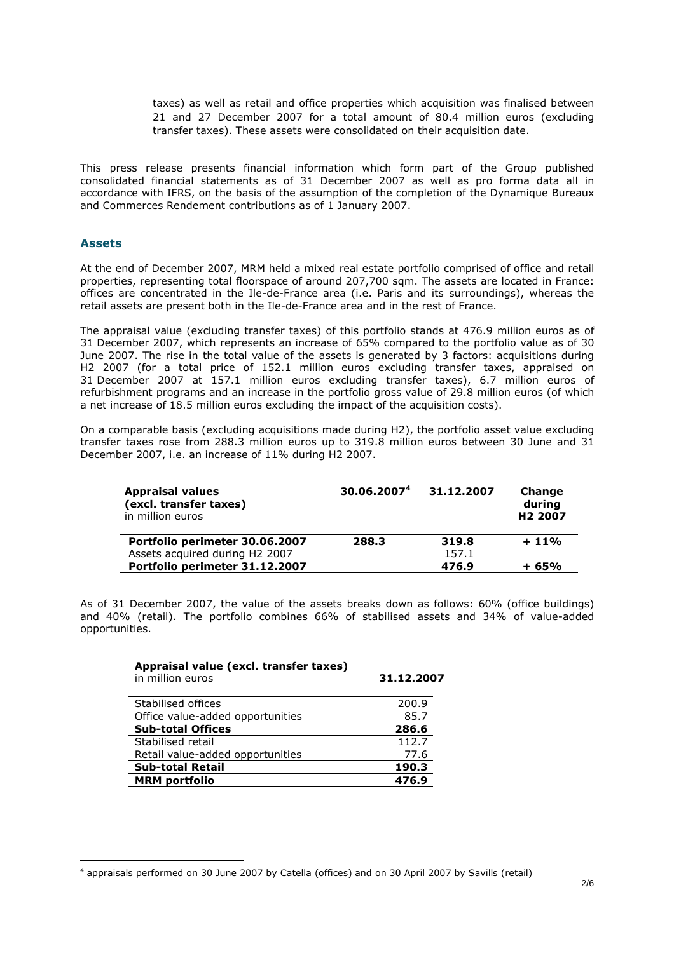taxes) as well as retail and office properties which acquisition was finalised between 21 and 27 December 2007 for a total amount of 80.4 million euros (excluding transfer taxes). These assets were consolidated on their acquisition date.

This press release presents financial information which form part of the Group published consolidated financial statements as of 31 December 2007 as well as pro forma data all in accordance with IFRS, on the basis of the assumption of the completion of the Dynamique Bureaux and Commerces Rendement contributions as of 1 January 2007.

# Assets

At the end of December 2007, MRM held a mixed real estate portfolio comprised of office and retail properties, representing total floorspace of around 207,700 sqm. The assets are located in France: offices are concentrated in the Ile-de-France area (i.e. Paris and its surroundings), whereas the retail assets are present both in the Ile-de-France area and in the rest of France.

The appraisal value (excluding transfer taxes) of this portfolio stands at 476.9 million euros as of 31 December 2007, which represents an increase of 65% compared to the portfolio value as of 30 June 2007. The rise in the total value of the assets is generated by 3 factors: acquisitions during H2 2007 (for a total price of 152.1 million euros excluding transfer taxes, appraised on 31 December 2007 at 157.1 million euros excluding transfer taxes), 6.7 million euros of refurbishment programs and an increase in the portfolio gross value of 29.8 million euros (of which a net increase of 18.5 million euros excluding the impact of the acquisition costs).

On a comparable basis (excluding acquisitions made during H2), the portfolio asset value excluding transfer taxes rose from 288.3 million euros up to 319.8 million euros between 30 June and 31 December 2007, i.e. an increase of 11% during H2 2007.

| <b>Appraisal values</b><br>(excl. transfer taxes)<br>in million euros | 30.06.2007 <sup>4</sup> | 31.12.2007 | Change<br>during<br>H <sub>2</sub> 2007 |
|-----------------------------------------------------------------------|-------------------------|------------|-----------------------------------------|
| Portfolio perimeter 30.06.2007                                        | 288.3                   | 319.8      | $+11%$                                  |
| Assets acquired during H2 2007                                        |                         | 157.1      |                                         |
| Portfolio perimeter 31.12.2007                                        |                         | 476.9      | + 65%                                   |

As of 31 December 2007, the value of the assets breaks down as follows: 60% (office buildings) and 40% (retail). The portfolio combines 66% of stabilised assets and 34% of value-added opportunities.

| Appraisal value (excl. transfer taxes)<br>in million euros | 31.12.2007 |
|------------------------------------------------------------|------------|
| Stabilised offices                                         | 200.9      |
| Office value-added opportunities                           | 85.7       |
| <b>Sub-total Offices</b>                                   | 286.6      |
| Stabilised retail                                          | 112.7      |
| Retail value-added opportunities                           | 77.6       |
| <b>Sub-total Retail</b>                                    | 190.3      |
| <b>MRM</b> portfolio                                       | 476.9      |

 $\overline{a}$ <sup>4</sup> appraisals performed on 30 June 2007 by Catella (offices) and on 30 April 2007 by Savills (retail)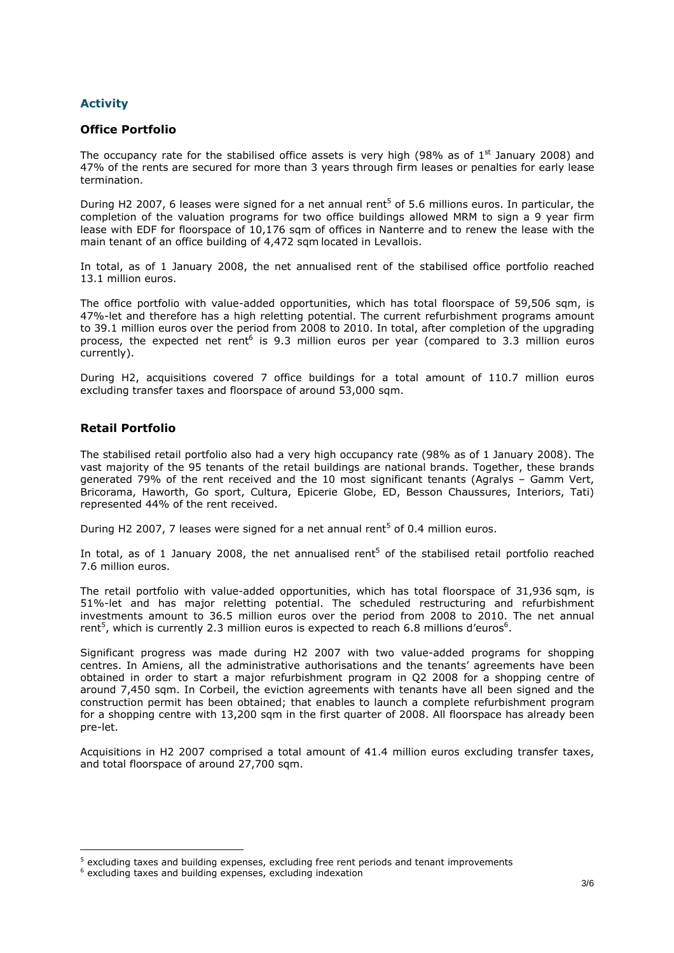# Activity

### Office Portfolio

The occupancy rate for the stabilised office assets is very high (98% as of  $1<sup>st</sup>$  January 2008) and 47% of the rents are secured for more than 3 years through firm leases or penalties for early lease termination.

During H2 2007, 6 leases were signed for a net annual rent<sup>5</sup> of 5.6 millions euros. In particular, the completion of the valuation programs for two office buildings allowed MRM to sign a 9 year firm lease with EDF for floorspace of 10,176 sqm of offices in Nanterre and to renew the lease with the main tenant of an office building of 4,472 sqm located in Levallois.

In total, as of 1 January 2008, the net annualised rent of the stabilised office portfolio reached 13.1 million euros.

The office portfolio with value-added opportunities, which has total floorspace of 59,506 sqm, is 47%-let and therefore has a high reletting potential. The current refurbishment programs amount to 39.1 million euros over the period from 2008 to 2010. In total, after completion of the upgrading process, the expected net rent<sup>6</sup> is 9.3 million euros per year (compared to 3.3 million euros currently).

During H2, acquisitions covered 7 office buildings for a total amount of 110.7 million euros excluding transfer taxes and floorspace of around 53,000 sqm.

### Retail Portfolio

The stabilised retail portfolio also had a very high occupancy rate (98% as of 1 January 2008). The vast majority of the 95 tenants of the retail buildings are national brands. Together, these brands generated 79% of the rent received and the 10 most significant tenants (Agralys – Gamm Vert, Bricorama, Haworth, Go sport, Cultura, Epicerie Globe, ED, Besson Chaussures, Interiors, Tati) represented 44% of the rent received.

During H2 2007, 7 leases were signed for a net annual rent<sup>5</sup> of 0.4 million euros.

In total, as of 1 January 2008, the net annualised rent<sup>5</sup> of the stabilised retail portfolio reached 7.6 million euros.

The retail portfolio with value-added opportunities, which has total floorspace of 31,936 sqm, is 51%-let and has major reletting potential. The scheduled restructuring and refurbishment investments amount to 36.5 million euros over the period from 2008 to 2010. The net annual rent<sup>5</sup>, which is currently 2.3 million euros is expected to reach 6.8 millions d'euros<sup>6</sup>.

Significant progress was made during H2 2007 with two value-added programs for shopping centres. In Amiens, all the administrative authorisations and the tenants' agreements have been obtained in order to start a major refurbishment program in Q2 2008 for a shopping centre of around 7,450 sqm. In Corbeil, the eviction agreements with tenants have all been signed and the construction permit has been obtained; that enables to launch a complete refurbishment program for a shopping centre with 13,200 sqm in the first quarter of 2008. All floorspace has already been pre-let.

Acquisitions in H2 2007 comprised a total amount of 41.4 million euros excluding transfer taxes, and total floorspace of around 27,700 sqm.

 5 excluding taxes and building expenses, excluding free rent periods and tenant improvements

<sup>6</sup> excluding taxes and building expenses, excluding indexation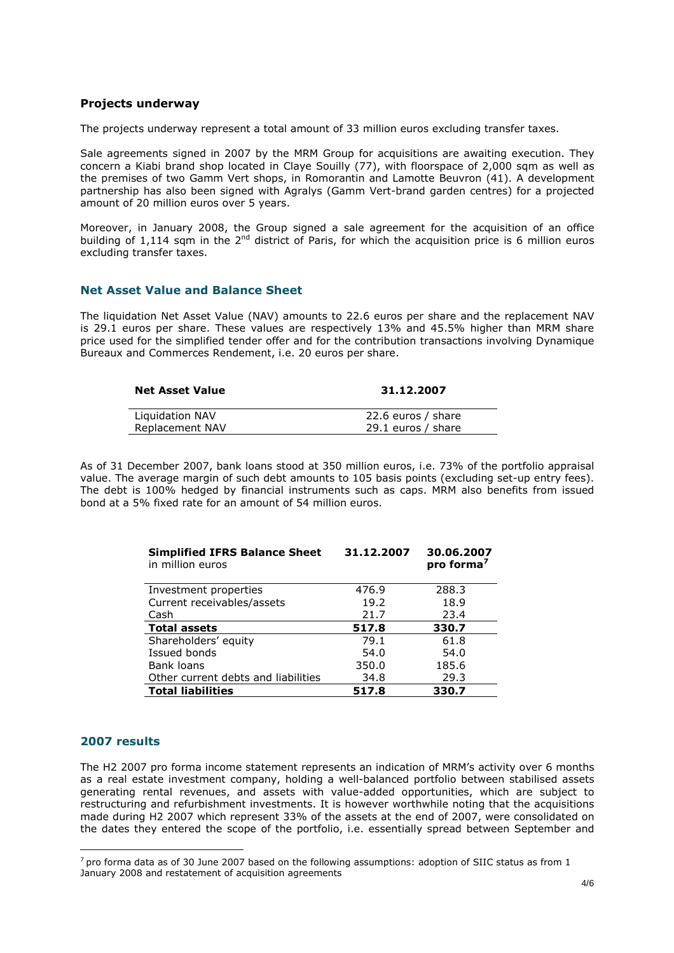# Projects underway

The projects underway represent a total amount of 33 million euros excluding transfer taxes.

Sale agreements signed in 2007 by the MRM Group for acquisitions are awaiting execution. They concern a Kiabi brand shop located in Claye Souilly (77), with floorspace of 2,000 sqm as well as the premises of two Gamm Vert shops, in Romorantin and Lamotte Beuvron (41). A development partnership has also been signed with Agralys (Gamm Vert-brand garden centres) for a projected amount of 20 million euros over 5 years.

Moreover, in January 2008, the Group signed a sale agreement for the acquisition of an office building of 1,114 sqm in the  $2^{nd}$  district of Paris, for which the acquisition price is 6 million euros excluding transfer taxes.

### Net Asset Value and Balance Sheet

The liquidation Net Asset Value (NAV) amounts to 22.6 euros per share and the replacement NAV is 29.1 euros per share. These values are respectively 13% and 45.5% higher than MRM share price used for the simplified tender offer and for the contribution transactions involving Dynamique Bureaux and Commerces Rendement, i.e. 20 euros per share.

| <b>Net Asset Value</b> | 31.12.2007         |
|------------------------|--------------------|
| Liquidation NAV        | 22.6 euros / share |
| Replacement NAV        | 29.1 euros / share |

As of 31 December 2007, bank loans stood at 350 million euros, i.e. 73% of the portfolio appraisal value. The average margin of such debt amounts to 105 basis points (excluding set-up entry fees). The debt is 100% hedged by financial instruments such as caps. MRM also benefits from issued bond at a 5% fixed rate for an amount of 54 million euros.

| <b>Simplified IFRS Balance Sheet</b><br>in million euros | 31.12.2007 | 30.06.2007<br>pro forma <sup>7</sup> |
|----------------------------------------------------------|------------|--------------------------------------|
| Investment properties                                    | 476.9      | 288.3                                |
| Current receivables/assets                               | 19.2       | 18.9                                 |
| Cash                                                     | 21.7       | 23.4                                 |
| <b>Total assets</b>                                      | 517.8      | 330.7                                |
| Shareholders' equity                                     | 79.1       | 61.8                                 |
| Issued bonds                                             | 54.0       | 54.0                                 |
| Bank loans                                               | 350.0      | 185.6                                |
| Other current debts and liabilities                      | 34.8       | 29.3                                 |
| <b>Total liabilities</b>                                 | 517.8      | 330.7                                |

### 2007 results

 $\overline{a}$ 

The H2 2007 pro forma income statement represents an indication of MRM's activity over 6 months as a real estate investment company, holding a well-balanced portfolio between stabilised assets generating rental revenues, and assets with value-added opportunities, which are subject to restructuring and refurbishment investments. It is however worthwhile noting that the acquisitions made during H2 2007 which represent 33% of the assets at the end of 2007, were consolidated on the dates they entered the scope of the portfolio, i.e. essentially spread between September and

 $^7$  pro forma data as of 30 June 2007 based on the following assumptions: adoption of SIIC status as from 1 January 2008 and restatement of acquisition agreements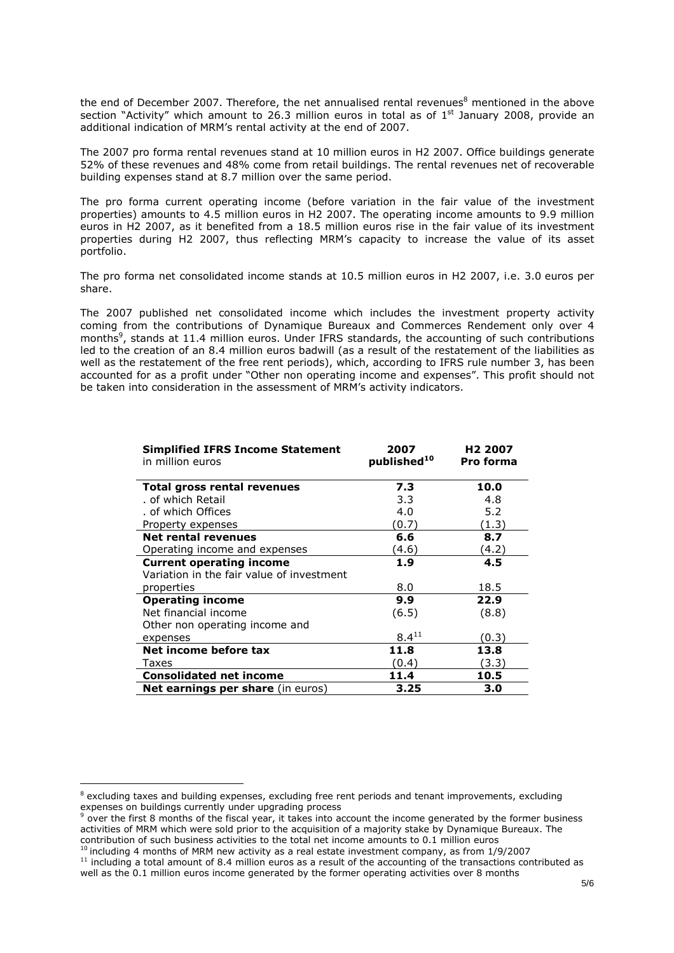the end of December 2007. Therefore, the net annualised rental revenues<sup>8</sup> mentioned in the above section "Activity" which amount to 26.3 million euros in total as of  $1<sup>st</sup>$  January 2008, provide an additional indication of MRM's rental activity at the end of 2007.

The 2007 pro forma rental revenues stand at 10 million euros in H2 2007. Office buildings generate 52% of these revenues and 48% come from retail buildings. The rental revenues net of recoverable building expenses stand at 8.7 million over the same period.

The pro forma current operating income (before variation in the fair value of the investment properties) amounts to 4.5 million euros in H2 2007. The operating income amounts to 9.9 million euros in H2 2007, as it benefited from a 18.5 million euros rise in the fair value of its investment properties during H2 2007, thus reflecting MRM's capacity to increase the value of its asset portfolio.

The pro forma net consolidated income stands at 10.5 million euros in H2 2007, i.e. 3.0 euros per share.

The 2007 published net consolidated income which includes the investment property activity coming from the contributions of Dynamique Bureaux and Commerces Rendement only over 4 months<sup>9</sup>, stands at 11.4 million euros. Under IFRS standards, the accounting of such contributions led to the creation of an 8.4 million euros badwill (as a result of the restatement of the liabilities as well as the restatement of the free rent periods), which, according to IFRS rule number 3, has been accounted for as a profit under "Other non operating income and expenses". This profit should not be taken into consideration in the assessment of MRM's activity indicators.

| <b>Simplified IFRS Income Statement</b><br>in million euros | 2007<br>published <sup>10</sup> | H <sub>2</sub> 2007<br><b>Pro forma</b> |
|-------------------------------------------------------------|---------------------------------|-----------------------------------------|
| Total gross rental revenues                                 | 7.3                             | 10.0                                    |
| . of which Retail                                           | 3.3                             | 4.8                                     |
| of which Offices                                            | 4.0                             | 5.2                                     |
| Property expenses                                           | (0.7)                           | (1.3)                                   |
| <b>Net rental revenues</b>                                  | 6.6                             | 8.7                                     |
| Operating income and expenses                               | (4.6)                           | (4.2)                                   |
| <b>Current operating income</b>                             | 1.9                             | 4.5                                     |
| Variation in the fair value of investment                   |                                 |                                         |
| properties                                                  | 8.0                             | 18.5                                    |
| <b>Operating income</b>                                     | 9.9                             | 22.9                                    |
| Net financial income                                        | (6.5)                           | (8.8)                                   |
| Other non operating income and                              |                                 |                                         |
| expenses                                                    | $8.4^{11}$                      | (0.3)                                   |
| Net income before tax                                       | 11.8                            | 13.8                                    |
| Taxes                                                       | (0.4)                           | (3.3)                                   |
| <b>Consolidated net income</b>                              | 11.4                            | 10.5                                    |
| <b>Net earnings per share</b> (in euros)                    | 3.25                            | 3.0                                     |

 $\overline{a}$ 

<sup>&</sup>lt;sup>8</sup> excluding taxes and building expenses, excluding free rent periods and tenant improvements, excluding expenses on buildings currently under upgrading process

over the first 8 months of the fiscal year, it takes into account the income generated by the former business activities of MRM which were sold prior to the acquisition of a majority stake by Dynamique Bureaux. The contribution of such business activities to the total net income amounts to 0.1 million euros

<sup>&</sup>lt;sup>10</sup> including 4 months of MRM new activity as a real estate investment company, as from 1/9/2007

 $11$  including a total amount of 8.4 million euros as a result of the accounting of the transactions contributed as well as the 0.1 million euros income generated by the former operating activities over 8 months